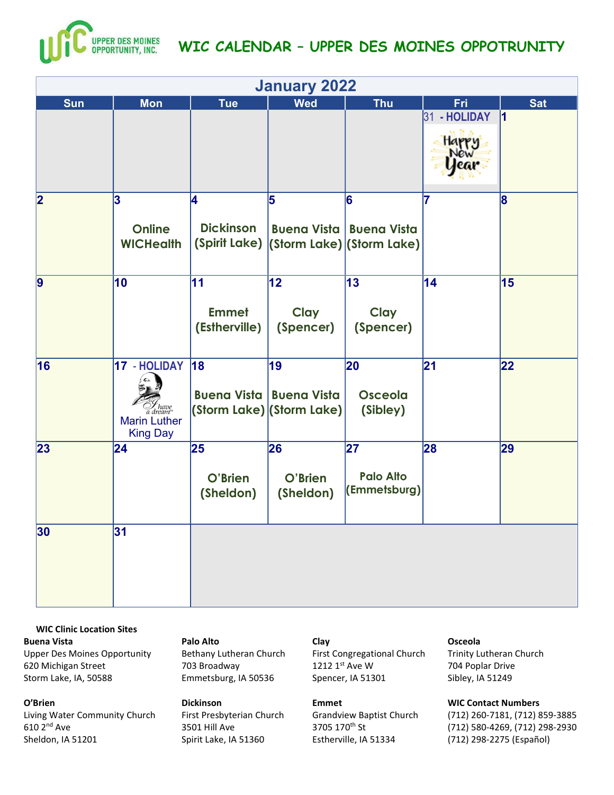

| <b>January 2022</b> |                                                                               |                                     |                                                                     |                                         |              |              |  |
|---------------------|-------------------------------------------------------------------------------|-------------------------------------|---------------------------------------------------------------------|-----------------------------------------|--------------|--------------|--|
| <b>Sun</b>          | <b>Mon</b>                                                                    | <b>Tue</b>                          | <b>Wed</b>                                                          | <b>Thu</b>                              | Fri          | <b>Sat</b>   |  |
|                     |                                                                               |                                     |                                                                     |                                         | 31 - HOLIDAY | 11           |  |
| 2                   | 3<br><b>Online</b><br><b>WICHealth</b>                                        | 4<br><b>Dickinson</b>               | 5<br>(Spirit Lake) (Storm Lake) (Storm Lake)                        | 6<br><b>Buena Vista   Buena Vista</b>   | 17           | $\bf{8}$     |  |
| $\vert$ 9           | 10                                                                            | 11<br><b>Emmet</b><br>(Estherville) | $ 12\rangle$<br><b>Clay</b><br>(Spencer)                            | 13<br>Clay<br>(Spencer)                 | 14           | 15           |  |
| 16                  | 17 - HOLIDAY<br>Z have<br>a dream''<br><b>Marin Luther</b><br><b>King Day</b> | 18                                  | 19<br><b>Buena Vista   Buena Vista</b><br>(Storm Lake) (Storm Lake) | 20<br><b>Osceola</b><br>(Sibley)        | 21           | $ 22\rangle$ |  |
| 23                  | $\sqrt{24}$                                                                   | 25<br>O'Brien<br>(Sheldon)          | 26<br>O'Brien<br>(Sheldon)                                          | 27 <br><b>Palo Alto</b><br>(Emmetsburg) | 28           | 29           |  |
| 30                  | 31                                                                            |                                     |                                                                     |                                         |              |              |  |

WIC Clinic Location Sites Buena Vista Upper Des Moines Opportunity 620 Michigan Street Storm Lake, IA, 50588

# O'Brien

Living Water Community Church 610 2nd Ave Sheldon, IA 51201

#### Palo Alto

Bethany Lutheran Church 703 Broadway Emmetsburg, IA 50536

### Dickinson

First Presbyterian Church 3501 Hill Ave Spirit Lake, IA 51360

### Clay

First Congregational Church 1212 1st Ave W Spencer, IA 51301

#### Emmet

Grandview Baptist Church 3705 170th St Estherville, IA 51334

#### Osceola

Trinity Lutheran Church 704 Poplar Drive Sibley, IA 51249

## WIC Contact Numbers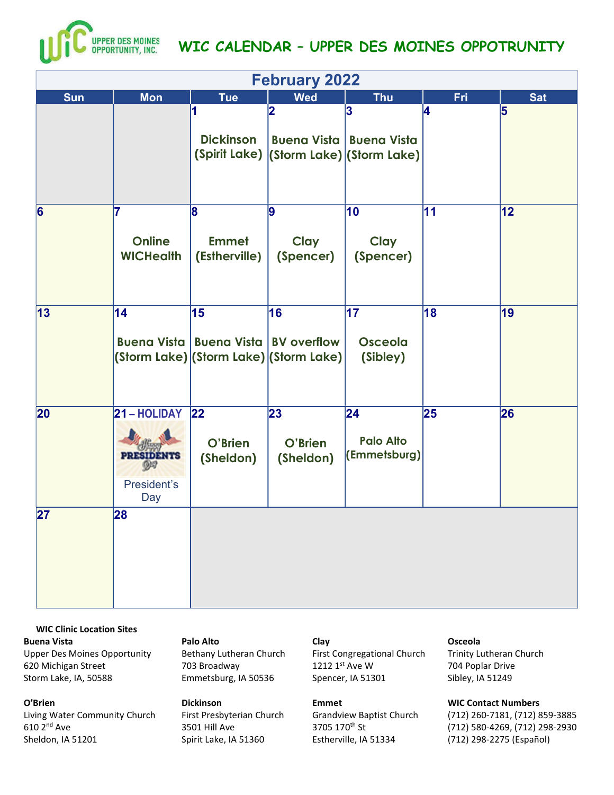

| <b>February 2022</b> |                                                                    |                                                      |                                                                                   |                                         |     |            |  |
|----------------------|--------------------------------------------------------------------|------------------------------------------------------|-----------------------------------------------------------------------------------|-----------------------------------------|-----|------------|--|
| <b>Sun</b>           | <b>Mon</b>                                                         | <b>Tue</b>                                           | <b>Wed</b>                                                                        | <b>Thu</b>                              | Fri | <b>Sat</b> |  |
|                      |                                                                    | <b>Dickinson</b>                                     | 12<br><b>Buena Vista   Buena Vista</b><br>(Spirit Lake) (Storm Lake) (Storm Lake) | 3                                       | 14  | 5          |  |
| 6                    | 7<br><b>Online</b><br><b>WICHealth</b>                             | 8<br><b>Emmet</b><br>(Estherville)                   | 9<br>Clay<br>(Spencer)                                                            | 10<br>Clay<br>(Spencer)                 | 11  | 12         |  |
| 13                   | 14                                                                 | 15<br><b>Buena Vista   Buena Vista   BV overflow</b> | 16<br>(Storm Lake) (Storm Lake) (Storm Lake)                                      | 17 <br>Osceola<br>(Sibley)              | 18  | 19         |  |
| 20                   | 21 - HOLIDAY<br><b>PRESIDENTS</b><br>$9 - 7$<br>President's<br>Day | 22 <br>O'Brien<br>(Sheldon)                          | 23<br>O'Brien<br>(Sheldon)                                                        | 24 <br><b>Palo Alto</b><br>(Emmetsburg) | 25  | 26         |  |
| 27                   | 28                                                                 |                                                      |                                                                                   |                                         |     |            |  |

WIC Clinic Location Sites Buena Vista Upper Des Moines Opportunity 620 Michigan Street Storm Lake, IA, 50588

O'Brien

Living Water Community Church 610 2nd Ave Sheldon, IA 51201

### Palo Alto

Bethany Lutheran Church 703 Broadway Emmetsburg, IA 50536

## Dickinson

First Presbyterian Church 3501 Hill Ave Spirit Lake, IA 51360

### Clay

First Congregational Church 1212 1st Ave W Spencer, IA 51301

#### Emmet

Grandview Baptist Church 3705 170th St Estherville, IA 51334

#### Osceola

Trinity Lutheran Church 704 Poplar Drive Sibley, IA 51249

## WIC Contact Numbers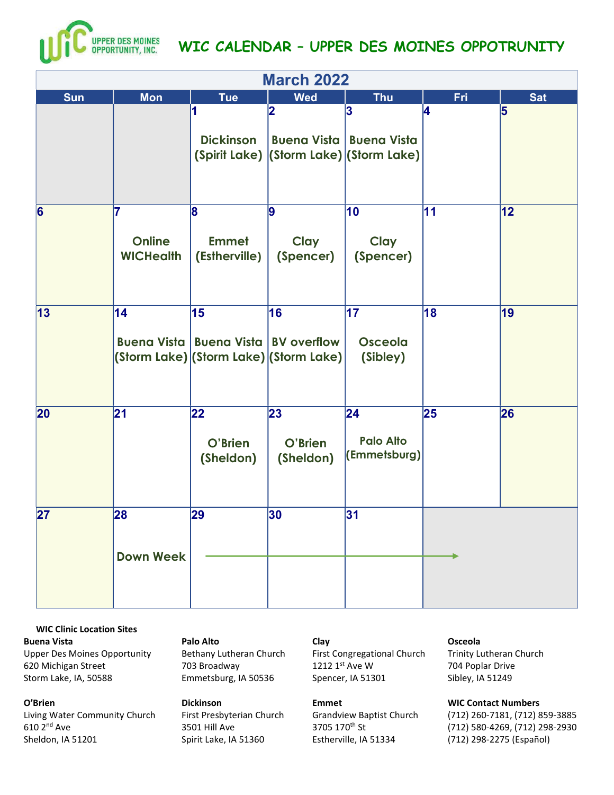

| <b>March 2022</b> |                                         |                                                      |                                              |                                              |            |            |  |  |
|-------------------|-----------------------------------------|------------------------------------------------------|----------------------------------------------|----------------------------------------------|------------|------------|--|--|
| <b>Sun</b>        | <b>Mon</b>                              | <b>Tue</b>                                           | <b>Wed</b>                                   | <b>Thu</b>                                   | <b>Fri</b> | <b>Sat</b> |  |  |
|                   |                                         | <b>Dickinson</b>                                     | 12<br>Buena Vista   Buena Vista              | 3<br>(Spirit Lake) (Storm Lake) (Storm Lake) | 14         | 5          |  |  |
| 6                 | 17<br><b>Online</b><br><b>WICHealth</b> | 8<br><b>Emmet</b><br>(Estherville)                   | 9<br>Clay<br>(Spencer)                       | 10<br>Clay<br>(Spencer)                      | 11         | 12         |  |  |
| 13                | 14                                      | 15<br><b>Buena Vista   Buena Vista   BV overflow</b> | 16<br>(Storm Lake) (Storm Lake) (Storm Lake) | 17 <br><b>Osceola</b><br>(Sibley)            | 18         | 19         |  |  |
| 20                | 21                                      | 22<br>O'Brien<br>(Sheldon)                           | 23<br>O'Brien<br>(Sheldon)                   | 24<br><b>Palo Alto</b><br>(Emmetsburg)       | 25         | 26         |  |  |
| 27                | 28<br><b>Down Week</b>                  | 29                                                   | 30                                           | 31                                           |            |            |  |  |

WIC Clinic Location Sites Buena Vista Upper Des Moines Opportunity 620 Michigan Street Storm Lake, IA, 50588

### O'Brien

Living Water Community Church 610 2nd Ave Sheldon, IA 51201

#### Palo Alto

Bethany Lutheran Church 703 Broadway Emmetsburg, IA 50536

## Dickinson

First Presbyterian Church 3501 Hill Ave Spirit Lake, IA 51360

## Clay

First Congregational Church 1212 1st Ave W Spencer, IA 51301

#### Emmet

Grandview Baptist Church 3705 170th St Estherville, IA 51334

#### Osceola

Trinity Lutheran Church 704 Poplar Drive Sibley, IA 51249

## WIC Contact Numbers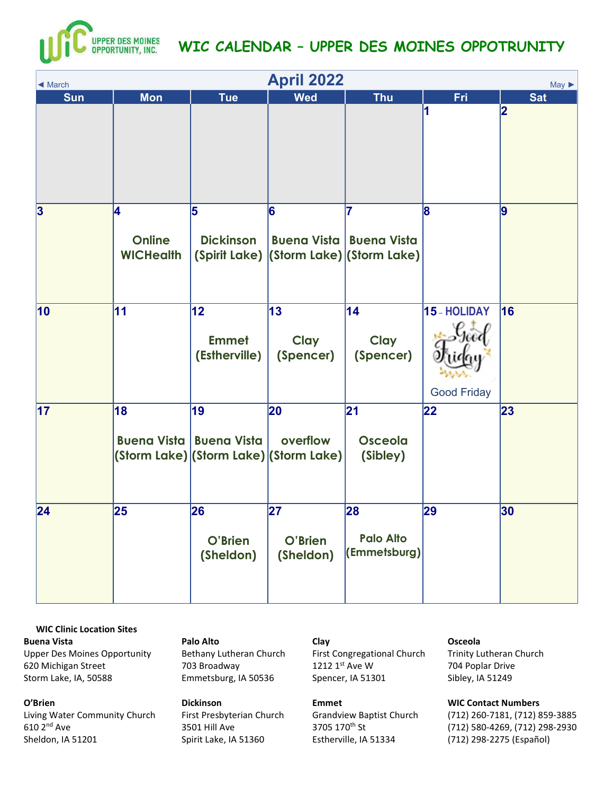

| <b>April 2022</b><br>$May \triangleright$<br>$\triangleleft$ March |                                         |                                      |                                                          |                                                                                  |                                    |            |  |  |
|--------------------------------------------------------------------|-----------------------------------------|--------------------------------------|----------------------------------------------------------|----------------------------------------------------------------------------------|------------------------------------|------------|--|--|
| <b>Sun</b>                                                         | <b>Mon</b>                              | <b>Tue</b>                           | <b>Wed</b>                                               | <b>Thu</b>                                                                       | <b>Fri</b>                         | <b>Sat</b> |  |  |
|                                                                    |                                         |                                      |                                                          |                                                                                  | И                                  | 2          |  |  |
| 3                                                                  | 14<br><b>Online</b><br><b>WICHealth</b> | 5<br><b>Dickinson</b>                | 6                                                        | 7<br><b>Buena Vista   Buena Vista</b><br>(Spirit Lake) (Storm Lake) (Storm Lake) | 8                                  | 9          |  |  |
| $ 10\rangle$                                                       | 11                                      | 12 <br><b>Emmet</b><br>(Estherville) | $\vert$ 13<br><b>Clay</b><br>(Spencer)                   | 14<br><b>Clay</b><br>(Spencer)                                                   | 15 - HOLIDAY<br><b>Good Friday</b> | 16         |  |  |
| 17                                                                 | 18                                      | 19<br>Buena Vista   Buena Vista      | 20<br>overflow<br>(Storm Lake) (Storm Lake) (Storm Lake) | 21 <br><b>Osceola</b><br>(Sibley)                                                | 22                                 | 23         |  |  |
| 24                                                                 | 25                                      | 26<br>O'Brien<br>(Sheldon)           | 27 <br>O'Brien<br>(Sheldon)                              | 28<br><b>Palo Alto</b><br>(Emmetsburg)                                           | 29                                 | 30         |  |  |

WIC Clinic Location Sites Buena Vista Upper Des Moines Opportunity 620 Michigan Street Storm Lake, IA, 50588

O'Brien

Living Water Community Church 610 2nd Ave Sheldon, IA 51201

## Palo Alto

Bethany Lutheran Church 703 Broadway Emmetsburg, IA 50536

Dickinson

First Presbyterian Church 3501 Hill Ave Spirit Lake, IA 51360

## Clay

First Congregational Church 1212 1st Ave W Spencer, IA 51301

### Emmet

Grandview Baptist Church 3705 170th St Estherville, IA 51334

#### Osceola

Trinity Lutheran Church 704 Poplar Drive Sibley, IA 51249

## WIC Contact Numbers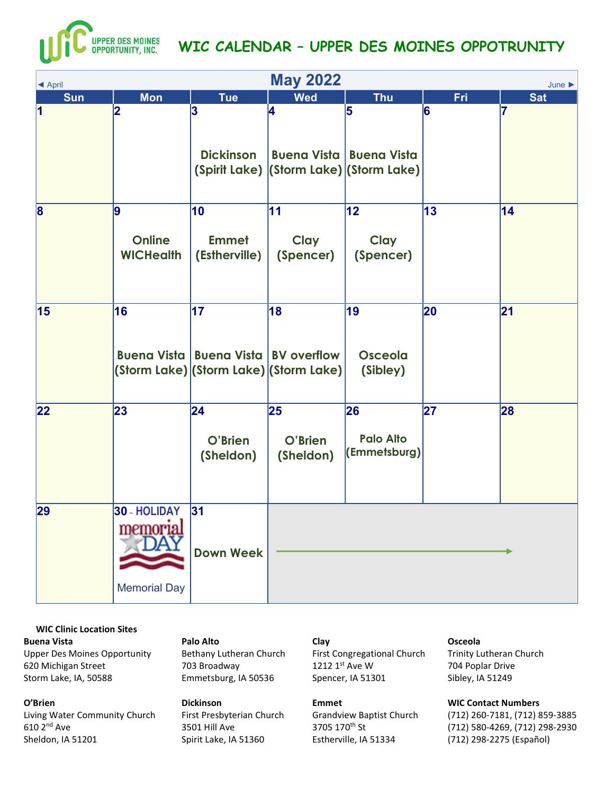

| <b>May 2022</b><br>June<br>◀ April |                                                 |                                                                   |                                              |                                        |            |            |  |  |
|------------------------------------|-------------------------------------------------|-------------------------------------------------------------------|----------------------------------------------|----------------------------------------|------------|------------|--|--|
| <b>Sun</b>                         | <b>Mon</b>                                      | <b>Tue</b>                                                        | <b>Wed</b>                                   | <b>Thu</b>                             | <b>Fri</b> | <b>Sat</b> |  |  |
| $\vert$ 1                          | 2                                               | 3<br><b>Dickinson</b>                                             | 4<br>(Spirit Lake) (Storm Lake) (Storm Lake) | 5<br><b>Buena Vista   Buena Vista</b>  | 6          |            |  |  |
| $\overline{\mathbf{8}}$            | $\vert$ 9<br><b>Online</b><br><b>WICHealth</b>  | 10<br><b>Emmet</b><br>(Estherville)                               | 11<br>Clay<br>(Spencer)                      | 12 <br>Clay<br>(Spencer)               | 13         | 14         |  |  |
| 15                                 | 16                                              | $\overline{17}$<br><b>Buena Vista   Buena Vista   BV overflow</b> | 18<br>(Storm Lake) (Storm Lake) (Storm Lake) | 19<br>Osceola<br>(Sibley)              | 20         | 21         |  |  |
| 22                                 | 23                                              | 24<br>O'Brien<br>(Sheldon)                                        | 25<br>O'Brien<br>(Sheldon)                   | 26<br><b>Palo Alto</b><br>(Emmetsburg) | 27         | 28         |  |  |
| 29                                 | 30 - HOLIDAY<br>memorial<br><b>Memorial Day</b> | 31<br><b>Down Week</b>                                            |                                              |                                        |            |            |  |  |

WIC Clinic Location Sites Buena Vista Upper Des Moines Opportunity 620 Michigan Street Storm Lake, IA, 50588

O'Brien Living Water Community Church 610 2nd Ave Sheldon, IA 51201

## Palo Alto

Bethany Lutheran Church 703 Broadway Emmetsburg, IA 50536

# Dickinson

First Presbyterian Church 3501 Hill Ave Spirit Lake, IA 51360

### Clay

First Congregational Church 1212 1st Ave W Spencer, IA 51301

### Emmet

Grandview Baptist Church 3705 170th St Estherville, IA 51334

#### Osceola

Trinity Lutheran Church 704 Poplar Drive Sibley, IA 51249

## WIC Contact Numbers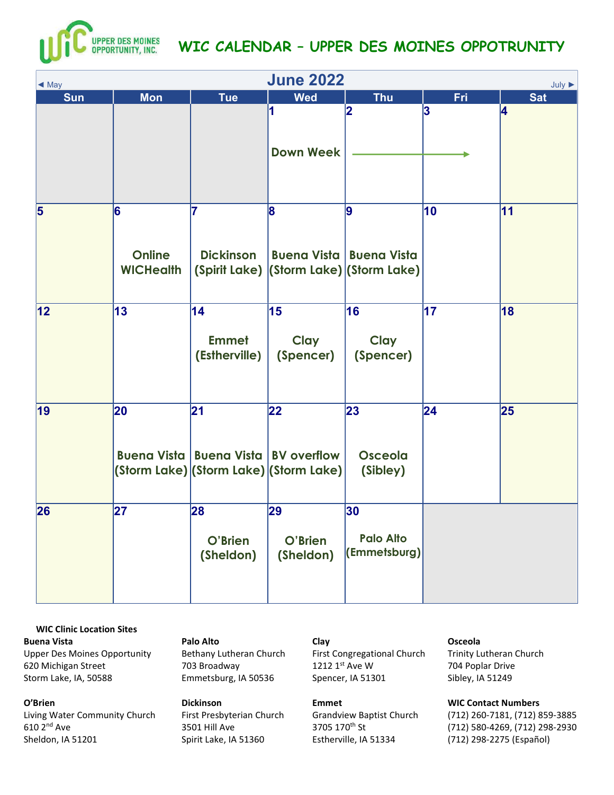

| <b>June 2022</b><br>$July \triangleright$<br>$\triangleleft$ May |                                        |                                                      |                                                        |                                              |            |            |  |  |
|------------------------------------------------------------------|----------------------------------------|------------------------------------------------------|--------------------------------------------------------|----------------------------------------------|------------|------------|--|--|
| <b>Sun</b>                                                       | <b>Mon</b>                             | <b>Tue</b>                                           | <b>Wed</b>                                             | <b>Thu</b>                                   | <b>Fri</b> | <b>Sat</b> |  |  |
|                                                                  |                                        |                                                      | 1<br><b>Down Week</b>                                  | 2                                            | 3          | 4          |  |  |
| $\overline{\mathbf{5}}$                                          | 6<br><b>Online</b><br><b>WICHealth</b> | 7<br><b>Dickinson</b>                                | $\mathbf{8}$<br>Buena Vista   Buena Vista              | 9<br>(Spirit Lake) (Storm Lake) (Storm Lake) | 10         | 11         |  |  |
| $\overline{12}$                                                  | 13                                     | 14<br><b>Emmet</b><br>(Estherville)                  | 15<br>Clay<br>(Spencer)                                | 16<br>Clay<br>(Spencer)                      | 17         | 18         |  |  |
| 19                                                               | 20                                     | 21<br><b>Buena Vista   Buena Vista   BV overflow</b> | $ 22\rangle$<br>(Storm Lake) (Storm Lake) (Storm Lake) | 23<br><b>Osceola</b><br>(Sibley)             | 24         | 25         |  |  |
| 26                                                               | 27                                     | 28<br>O'Brien<br>(Sheldon)                           | 29<br>O'Brien<br>(Sheldon)                             | 30<br><b>Palo Alto</b><br>(Emmetsburg)       |            |            |  |  |

WIC Clinic Location Sites Buena Vista Upper Des Moines Opportunity 620 Michigan Street Storm Lake, IA, 50588

O'Brien Living Water Community Church 610 2nd Ave Sheldon, IA 51201

## Palo Alto

Bethany Lutheran Church 703 Broadway Emmetsburg, IA 50536

# Dickinson

First Presbyterian Church 3501 Hill Ave Spirit Lake, IA 51360

## Clay

First Congregational Church 1212 1st Ave W Spencer, IA 51301

#### Emmet

Grandview Baptist Church 3705 170th St Estherville, IA 51334

#### Osceola

Trinity Lutheran Church 704 Poplar Drive Sibley, IA 51249

## WIC Contact Numbers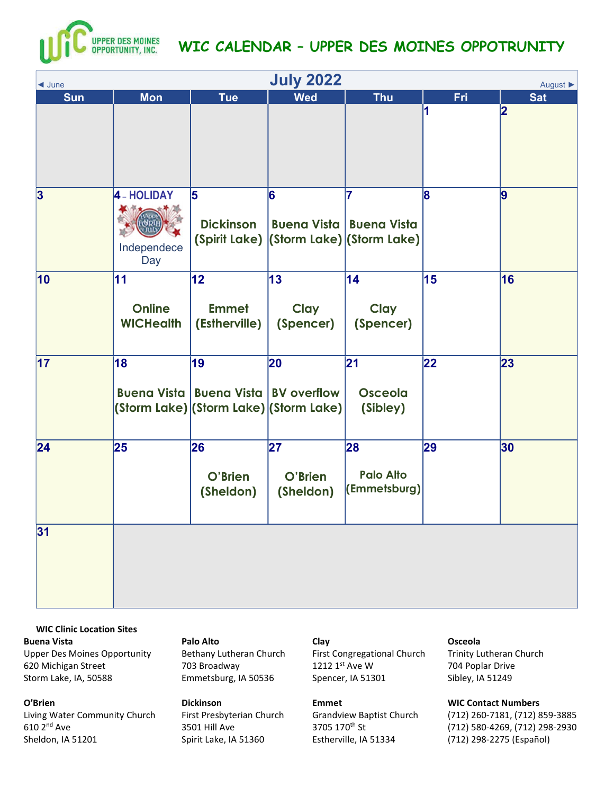

| <b>July 2022</b><br>$\triangleleft$ June<br>August ▶ |                                         |                                                                                                |                                |                                                                                  |            |            |  |
|------------------------------------------------------|-----------------------------------------|------------------------------------------------------------------------------------------------|--------------------------------|----------------------------------------------------------------------------------|------------|------------|--|
| <b>Sun</b>                                           | <b>Mon</b>                              | <b>Tue</b>                                                                                     | <b>Wed</b>                     | <b>Thu</b>                                                                       | <b>Fri</b> | <b>Sat</b> |  |
|                                                      |                                         |                                                                                                |                                |                                                                                  | 11         | 2          |  |
| 3                                                    | 4 - HOLIDAY<br>Independece<br>Day       | 5<br><b>Dickinson</b>                                                                          | 6                              | 7<br><b>Buena Vista   Buena Vista</b><br>(Spirit Lake) (Storm Lake) (Storm Lake) | 8          | 9          |  |
| $ 10\rangle$                                         | 11<br><b>Online</b><br><b>WICHealth</b> | 12<br><b>Emmet</b><br>(Estherville)                                                            | 13<br><b>Clay</b><br>(Spencer) | 14<br>Clay<br>(Spencer)                                                          | 15         | 16         |  |
| 17                                                   | 18                                      | 19<br><b>Buena Vista   Buena Vista   BV overflow</b><br>(Storm Lake) (Storm Lake) (Storm Lake) | 20                             | 21 <br><b>Osceola</b><br>(Sibley)                                                | 22         | 23         |  |
| 24                                                   | 25                                      | 26<br>O'Brien<br>(Sheldon)                                                                     | 27<br>O'Brien<br>(Sheldon)     | 28<br><b>Palo Alto</b><br>(Emmetsburg)                                           | 29         | 30         |  |
| 31                                                   |                                         |                                                                                                |                                |                                                                                  |            |            |  |

WIC Clinic Location Sites Buena Vista Upper Des Moines Opportunity 620 Michigan Street Storm Lake, IA, 50588

Living Water Community Church

O'Brien

610 2nd Ave Sheldon, IA 51201

### Palo Alto

Bethany Lutheran Church 703 Broadway Emmetsburg, IA 50536

## Dickinson

First Presbyterian Church 3501 Hill Ave Spirit Lake, IA 51360

## Clay

First Congregational Church 1212 1st Ave W Spencer, IA 51301

#### Emmet

Grandview Baptist Church 3705 170th St Estherville, IA 51334

### Osceola

Trinity Lutheran Church 704 Poplar Drive Sibley, IA 51249

## WIC Contact Numbers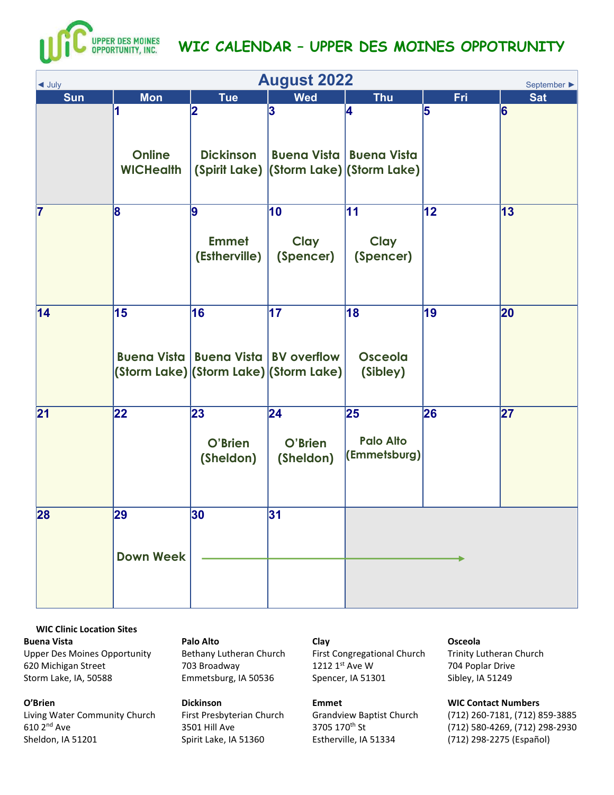

| $\blacktriangleleft$ July | <b>August 2022</b><br>September ▶      |                                                      |                                                           |                                        |            |            |  |  |
|---------------------------|----------------------------------------|------------------------------------------------------|-----------------------------------------------------------|----------------------------------------|------------|------------|--|--|
| <b>Sun</b>                | <b>Mon</b>                             | <b>Tue</b>                                           | <b>Wed</b>                                                | <b>Thu</b>                             | <b>Fri</b> | <b>Sat</b> |  |  |
|                           | 1<br><b>Online</b><br><b>WICHealth</b> | 2<br><b>Dickinson</b>                                | 3 <br>(Spirit Lake) (Storm Lake) (Storm Lake)             | 4<br><b>Buena Vista   Buena Vista</b>  | 5          | 6          |  |  |
| $\overline{7}$            | 8                                      | 9<br><b>Emmet</b><br>(Estherville)                   | 10<br>Clay<br>(Spencer)                                   | 11 <br>Clay<br>(Spencer)               | 12         | 13         |  |  |
| 14                        | 15                                     | 16<br><b>Buena Vista   Buena Vista   BV overflow</b> | $\overline{17}$<br>(Storm Lake) (Storm Lake) (Storm Lake) | 18<br><b>Osceola</b><br>(Sibley)       | 19         | 20         |  |  |
| 21                        | 22                                     | 23<br>O'Brien<br>(Sheldon)                           | 24 <br>O'Brien<br>(Sheldon)                               | 25<br><b>Palo Alto</b><br>(Emmetsburg) | 26         | 27         |  |  |
| 28                        | 29<br><b>Down Week</b>                 | 30                                                   | 31                                                        |                                        |            |            |  |  |

WIC Clinic Location Sites Buena Vista Upper Des Moines Opportunity 620 Michigan Street Storm Lake, IA, 50588

O'Brien

Living Water Community Church 610 2nd Ave Sheldon, IA 51201

### Palo Alto

Bethany Lutheran Church 703 Broadway Emmetsburg, IA 50536

# Dickinson

First Presbyterian Church 3501 Hill Ave Spirit Lake, IA 51360

## Clay

First Congregational Church 1212 1st Ave W Spencer, IA 51301

#### Emmet

Grandview Baptist Church 3705 170th St Estherville, IA 51334

#### Osceola

Trinity Lutheran Church 704 Poplar Drive Sibley, IA 51249

## WIC Contact Numbers